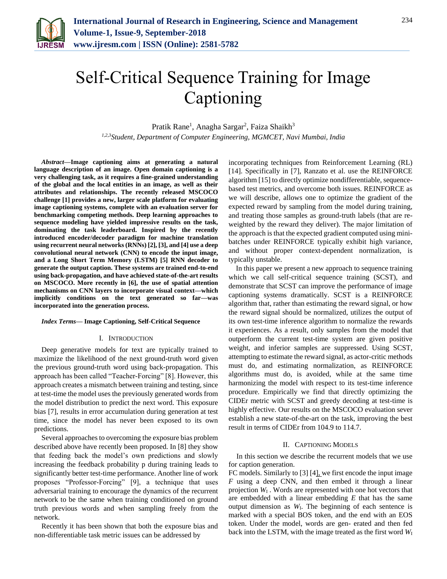

# Self-Critical Sequence Training for Image Captioning

Pratik Rane<sup>1</sup>, Anagha Sargar<sup>2</sup>, Faiza Shaikh<sup>3</sup> *1,2,3Student, Department of Computer Engineering, MGMCET, Navi Mumbai, India*

*Abstract***—Image captioning aims at generating a natural language description of an image. Open domain captioning is a very challenging task, as it requires a fine-grained understanding of the global and the local entities in an image, as well as their attributes and relationships. The recently released MSCOCO challenge [1] provides a new, larger scale platform for evaluating image captioning systems, complete with an evaluation server for benchmarking competing methods. Deep learning approaches to sequence modeling have yielded impressive results on the task, dominating the task leaderboard. Inspired by the recently introduced encoder/decoder paradigm for machine translation using recurrent neural networks (RNNs) [2], [3], and [4] use a deep convolutional neural network (CNN) to encode the input image, and a Long Short Term Memory (LSTM) [5] RNN decoder to generate the output caption. These systems are trained end-to-end using back-propagation, and have achieved state-of-the-art results on MSCOCO. More recently in [6], the use of spatial attention mechanisms on CNN layers to incorporate visual context—which implicitly conditions on the text generated so far—was incorporated into the generation process.**

#### *Index Terms***— Image Captioning, Self-Critical Sequence**

## I. INTRODUCTION

Deep generative models for text are typically trained to maximize the likelihood of the next ground-truth word given the previous ground-truth word using back-propagation. This approach has been called "Teacher-Forcing" [8]. However, this approach creates a mismatch between training and testing, since at test-time the model uses the previously generated words from the model distribution to predict the next word. This exposure bias [7], results in error accumulation during generation at test time, since the model has never been exposed to its own predictions.

Several approaches to overcoming the exposure bias problem described above have recently been proposed. In [8] they show that feeding back the model's own predictions and slowly increasing the feedback probability p during training leads to significantly better test-time performance. Another line of work proposes "Professor-Forcing" [9], a technique that uses adversarial training to encourage the dynamics of the recurrent network to be the same when training conditioned on ground truth previous words and when sampling freely from the network.

Recently it has been shown that both the exposure bias and non-differentiable task metric issues can be addressed by

incorporating techniques from Reinforcement Learning (RL) [14]. Specifically in [7], Ranzato et al. use the REINFORCE algorithm [15] to directly optimize nondifferentiable, sequencebased test metrics, and overcome both issues. REINFORCE as we will describe, allows one to optimize the gradient of the expected reward by sampling from the model during training, and treating those samples as ground-truth labels (that are reweighted by the reward they deliver). The major limitation of the approach is that the expected gradient computed using minibatches under REINFORCE typically exhibit high variance, and without proper context-dependent normalization, is typically unstable.

In this paper we present a new approach to sequence training which we call self-critical sequence training (SCST), and demonstrate that SCST can improve the performance of image captioning systems dramatically. SCST is a REINFORCE algorithm that, rather than estimating the reward signal, or how the reward signal should be normalized, utilizes the output of its own test-time inference algorithm to normalize the rewards it experiences. As a result, only samples from the model that outperform the current test-time system are given positive weight, and inferior samples are suppressed. Using SCST, attempting to estimate the reward signal, as actor-critic methods must do, and estimating normalization, as REINFORCE algorithms must do, is avoided, while at the same time harmonizing the model with respect to its test-time inference procedure. Empirically we find that directly optimizing the CIDEr metric with SCST and greedy decoding at test-time is highly effective. Our results on the MSCOCO evaluation sever establish a new state-of-the-art on the task, improving the best result in terms of CIDEr from 104.9 to 114.7.

## II. CAPTIONING MODELS

In this section we describe the recurrent models that we use for caption generation.

FC models. Similarly to [3] [4], we first encode the input image *F* using a deep CNN, and then embed it through a linear projection *W*<sup>I</sup> . Words are represented with one hot vectors that are embedded with a linear embedding *E* that has the same output dimension as *W*I. The beginning of each sentence is marked with a special BOS token, and the end with an EOS token. Under the model, words are gen- erated and then fed back into the LSTM, with the image treated as the first word  $W_I$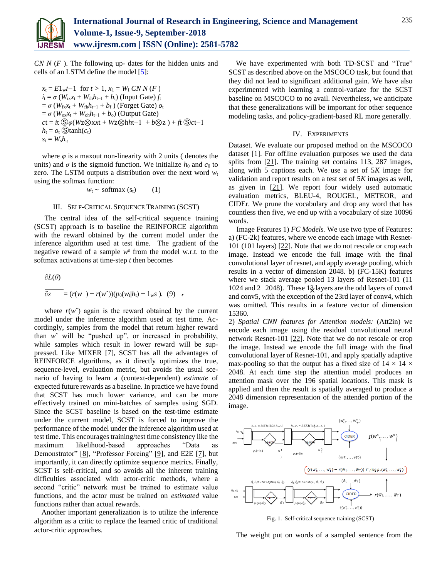

*CN N* (*F* ). The following up- dates for the hidden units and cells of an LSTM define the model [5]:

 $x_t = E1_w t - 1$  for  $t > 1$ ,  $x_1 = W_1 C N N(F)$  $i_t = \sigma (W_{ix}x_t + W_{ih}h_{t-1} + b_i)$  (Input Gate)  $f_t$  $= \sigma (W_{fx}x_t + W_{fh}h_{t-1} + b_f)$  (Forget Gate)  $o_t$  $= \sigma (W_{\text{ox}}x_t + W_{\text{oh}}h_{t-1} + b_0)$  (Output Gate)  $ct = it \mathcal{S}\varphi(Wz\otimes xxt + Wz\otimes hht-1 + b\otimes z) + ft \mathcal{S}ct-1$  $h_t = o_t$  (S)tanh( $c_t$ )  $s_t = W_s h_t$ 

where  $\varphi$  is a maxout non-linearity with 2 units ( denotes the units) and  $\sigma$  is the sigmoid function. We initialize  $h_0$  and  $c_0$  to zero. The LSTM outputs a distribution over the next word  $w_t$ using the softmax function:

$$
w_t \sim \text{softmax}(s_t) \qquad (1)
$$

## III. SELF-CRITICAL SEQUENCE TRAINING (SCST)

The central idea of the self-critical sequence training (SCST) approach is to baseline the REINFORCE algorithm with the reward obtained by the current model under the inference algorithm used at test time. The gradient of the negative reward of a sample  $w^s$  from the model w.r.t. to the softmax activations at time-step *t* then becomes

$$
\frac{\partial L(\theta)}{\partial s} = (r(w^-) - r(w^*)) (p_\theta(w_t|h_t) - 1_w s). \quad (9) \quad \epsilon
$$

where  $r(w)$  again is the reward obtained by the current model under the inference algorithm used at test time. Accordingly, samples from the model that return higher reward than *w*ˆ will be "pushed up", or increased in probability, while samples which result in lower reward will be suppressed. Like MIXER [7], SCST has all the advantages of REINFORCE algorithms, as it directly optimizes the true, sequence-level, evaluation metric, but avoids the usual scenario of having to learn a (context-dependent) *estimate* of expected future rewards as a baseline. In practice we have found that SCST has much lower variance, and can be more effectively trained on mini-batches of samples using SGD. Since the SCST baseline is based on the test-time estimate under the current model, SCST is forced to improve the performance of the model under the inference algorithm used at test time. This encourages training/test time consistency like the maximum likelihood-based approaches "Data as Demonstrator" [8], "Professor Forcing" [9], and E2E [7], but importantly, it can directly optimize sequence metrics. Finally, SCST is self-critical, and so avoids all the inherent training difficulties associated with actor-critic methods, where a second "critic" network must be trained to estimate value functions, and the actor must be trained on *estimated* value functions rather than actual rewards.

Another important generalization is to utilize the inference algorithm as a critic to replace the learned critic of traditional actor-critic approaches.

We have experimented with both TD-SCST and "True" SCST as described above on the MSCOCO task, but found that they did not lead to significant additional gain. We have also experimented with learning a control-variate for the SCST baseline on MSCOCO to no avail. Nevertheless, we anticipate that these generalizations will be important for other sequence modeling tasks, and policy-gradient-based RL more generally.

#### IV. EXPERIMENTS

Dataset. We evaluate our proposed method on the MSCOCO dataset [1]. For offline evaluation purposes we used the data splits from [21]. The training set contains 113*,* 287 images, along with 5 captions each. We use a set of 5*K* image for validation and report results on a test set of 5*K* images as well, as given in  $[21]$ . We report four widely used automatic evaluation metrics, BLEU-4, ROUGEL, METEOR, and CIDEr. We prune the vocabulary and drop any word that has countless then five, we end up with a vocabulary of size 10096 words.

1024 and 2 2048). These 13 layers are the odd layers of conv4 was omitted. This results in a feature vector of dimension Image Features 1) *FC Models.* We use two type of Features: a) (FC-2k) features, where we encode each image with Resnet-101 (101 layers) [22]. Note that we do not rescale or crop each image. Instead we encode the full image with the final convolutional layer of resnet, and apply average pooling, which results in a vector of dimension 2048. b) (FC-15K) features where we stack average pooled 13 layers of Resnet-101 (11 and conv5, with the exception of the 23rd layer of conv4, which 15360.

2) *Spatial CNN features for Attention models:* (Att2in) we encode each image using the residual convolutional neural network Resnet-101 [22]. Note that we do not rescale or crop the image. Instead we encode the full image with the final convolutional layer of Resnet-101, and apply spatially adaptive max-pooling so that the output has a fixed size of  $14 \times 14 \times$ 2048. At each time step the attention model produces an attention mask over the 196 spatial locations. This mask is applied and then the result is spatially averaged to produce a 2048 dimension representation of the attended portion of the image.



Fig. 1. Self-critical sequence training (SCST)

The weight put on words of a sampled sentence from the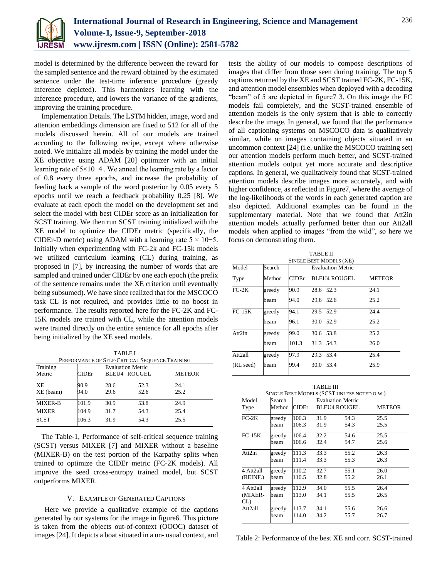

model is determined by the difference between the reward for the sampled sentence and the reward obtained by the estimated sentence under the test-time inference procedure (greedy inference depicted). This harmonizes learning with the inference procedure, and lowers the variance of the gradients, improving the training procedure.

Implementation Details. The LSTM hidden, image, word and attention embeddings dimension are fixed to 512 for all of the models discussed herein. All of our models are trained according to the following recipe, except where otherwise noted. We initialize all models by training the model under the XE objective using ADAM [20] optimizer with an initial learning rate of 5×10−4 . We anneal the learning rate by a factor of 0.8 every three epochs, and increase the probability of feeding back a sample of the word posterior by 0.05 every 5 epochs until we reach a feedback probability 0.25 [8]. We evaluate at each epoch the model on the development set and select the model with best CIDEr score as an initialization for SCST training. We then run SCST training initialized with the XE model to optimize the CIDEr metric (specifically, the CIDEr-D metric) using ADAM with a learning rate  $5 \times 10$ −5. Initially when experimenting with FC-2k and FC-15k models we utilized curriculum learning (CL) during training, as proposed in [7], by increasing the number of words that are sampled and trained under CIDEr by one each epoch (the prefix of the sentence remains under the XE criterion until eventually being subsumed). We have since realized that for the MSCOCO task CL is not required, and provides little to no boost in performance. The results reported here for the FC-2K and FC-15K models are trained with CL, while the attention models were trained directly on the entire sentence for all epochs after being initialized by the XE seed models.

TABLE I

| PERFORMANCE OF SELF-CRITICAL SEQUENCE TRAINING |       |                          |                     |               |  |  |
|------------------------------------------------|-------|--------------------------|---------------------|---------------|--|--|
| Training                                       |       | <b>Evaluation Metric</b> |                     |               |  |  |
| Metric                                         | CIDEr |                          | <b>BLEU4 ROUGEL</b> | <b>METEOR</b> |  |  |
| <b>XE</b>                                      | 90.9  | 28.6                     | 52.3                | 24.1          |  |  |
| XE (beam)                                      | 94.0  | 29.6                     | 52.6                | 25.2          |  |  |
| <b>MIXER-B</b>                                 | 101.9 | 30.9                     | 53.8                | 24.9          |  |  |
| <b>MIXER</b>                                   | 104.9 | 31.7                     | 54.3                | 25.4          |  |  |
| <b>SCST</b>                                    | 106.3 | 31.9                     | 54.3                | 25.5          |  |  |

The Table-1, Performance of self-critical sequence training (SCST) versus MIXER [7] and MIXER without a baseline (MIXER-B) on the test portion of the Karpathy splits when trained to optimize the CIDEr metric (FC-2K models). All improve the seed cross-entropy trained model, but SCST outperforms MIXER.

# V. EXAMPLE OF GENERATED CAPTIONS

Here we provide a qualitative example of the captions generated by our systems for the image in figure6. This picture is taken from the objects out-of-context (OOOC) dataset of images [24]. It depicts a boat situated in a un- usual context, and tests the ability of our models to compose descriptions of images that differ from those seen during training. The top 5 captions returned by the XE and SCST trained FC-2K, FC-15K, and attention model ensembles when deployed with a decoding "beam" of 5 are depicted in figure7 3. On this image the FC models fail completely, and the SCST-trained ensemble of attention models is the only system that is able to correctly describe the image. In general, we found that the performance of all captioning systems on MSCOCO data is qualitatively similar, while on images containing objects situated in an uncommon context [24] (i.e. unlike the MSCOCO training set) our attention models perform much better, and SCST-trained attention models output yet more accurate and descriptive captions. In general, we qualitatively found that SCST-trained attention models describe images more accurately, and with higher confidence, as reflected in Figure7, where the average of the log-likelihoods of the words in each generated caption are also depicted. Additional examples can be found in the supplementary material. Note that we found that Att2in attention models actually performed better than our Att2all models when applied to images "from the wild", so here we focus on demonstrating them.

| TABLE II                       |        |       |                               |      |  |  |  |  |
|--------------------------------|--------|-------|-------------------------------|------|--|--|--|--|
| <b>SINGLE BEST MODELS (XE)</b> |        |       |                               |      |  |  |  |  |
| Model                          | Search |       | <b>Evaluation Metric</b>      |      |  |  |  |  |
| Type                           | Method | CIDEr | <b>BLEU4 ROUGEL</b><br>METEOR |      |  |  |  |  |
| $FC-2K$                        | greedy | 90.9  | 28.6 52.3                     | 24.1 |  |  |  |  |
|                                | beam   | 94.0  | 29.6 52.6                     | 25.2 |  |  |  |  |
| $FC-15K$                       | greedy | 94.1  | 29.5 52.9                     | 24.4 |  |  |  |  |
|                                | beam   | 96.1  | 30.0 52.9                     | 25.2 |  |  |  |  |
| Att2in                         | greedy | 99.0  | 30.6 53.8                     | 25.2 |  |  |  |  |
|                                | beam   | 101.3 | 31.3 54.3                     | 26.0 |  |  |  |  |
| Att <sub>2all</sub>            | greedy | 97.9  | 29.3 53.4                     | 25.4 |  |  |  |  |
| (RL seed)                      | beam   | 99.4  | 30.0 53.4                     | 25.9 |  |  |  |  |

| <b>TABLE III</b>                            |        |        |                          |                     |               |  |  |
|---------------------------------------------|--------|--------|--------------------------|---------------------|---------------|--|--|
| SINGLE BEST MODELS (SCST UNLESS NOTED O.W.) |        |        |                          |                     |               |  |  |
| Model                                       | Search |        | <b>Evaluation Metric</b> |                     |               |  |  |
| Type                                        | Method | CIDEr. |                          | <b>BLEU4 ROUGEL</b> | <b>METEOR</b> |  |  |
| $FC-2K$                                     | greedy | 106.3  | 31.9                     | 54.3                | 25.5          |  |  |
|                                             | beam   | 106.3  | 31.9                     | 54.3                | 25.5          |  |  |
| $FC-15K$                                    | greedy | 106.4  | 32.2                     | 54.6                | 25.5          |  |  |
|                                             | beam   | 106.6  | 32.4                     | 54.7                | 25.6          |  |  |
| Att2in                                      | greedy | 111.3  | 33.3                     | 55.2                | 26.3          |  |  |
|                                             | beam   | 111.4  | 33.3                     | 55.3                | 26.3          |  |  |
| 4 Att2all                                   | greedy | 110.2  | 32.7                     | 55.1                | 26.0          |  |  |
| (REINF.)                                    | beam   | 110.5  | 32.8                     | 55.2                | 26.1          |  |  |
| 4 Att2all                                   | greedy | 112.9  | 34.0                     | 55.5                | 26.4          |  |  |
| (MIXER-                                     | beam   | 113.0  | 34.1                     | 55.5                | 26.5          |  |  |
| CL)                                         |        |        |                          |                     |               |  |  |
| Att <sub>2all</sub>                         | greedy | 113.7  | 34.1                     | 55.6                | 26.6          |  |  |
|                                             | beam   | 114.0  | 34.2                     | 55.7                | 26.7          |  |  |

Table 2: Performance of the best XE and corr. SCST-trained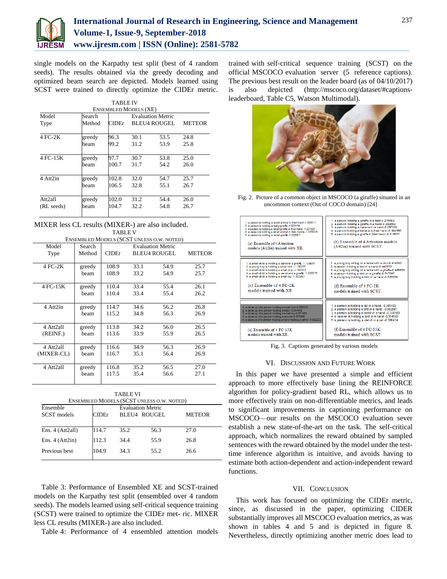

single models on the Karpathy test split (best of 4 random seeds). The results obtained via the greedy decoding and optimized beam search are depicted. Models learned using SCST were trained to directly optimize the CIDEr metric.

| <b>TABLE IV</b>              |        |       |                          |      |      |  |  |
|------------------------------|--------|-------|--------------------------|------|------|--|--|
| <b>ENSEMBLED MODELS (XE)</b> |        |       |                          |      |      |  |  |
| Model                        | Search |       | <b>Evaluation Metric</b> |      |      |  |  |
| Type                         | Method | CIDEr | BLEU4 ROUGEL<br>METEOR   |      |      |  |  |
|                              |        |       |                          |      |      |  |  |
| 4 FC-2K                      | greedy | 96.3  | 30.1                     | 53.5 | 24.8 |  |  |
|                              | beam   | 99.2  | 31.2                     | 53.9 | 25.8 |  |  |
|                              |        |       |                          |      |      |  |  |
| 4 FC-15K                     | greedy | 97.7  | 30.7                     | 53.8 | 25.0 |  |  |
|                              | beam   | 100.7 | 31.7                     | 54.2 | 26.0 |  |  |
|                              |        |       |                          |      |      |  |  |
| 4 Att2in                     | greedy | 102.8 | 32.0                     | 54.7 | 25.7 |  |  |
|                              | beam   | 106.5 | 32.8                     | 55.1 | 26.7 |  |  |
|                              |        |       |                          |      |      |  |  |
| Att2all                      | greedy | 102.0 | 31.2                     | 54.4 | 26.0 |  |  |
| (RL seeds)                   | beam   | 104.7 | 32.2                     | 54.8 | 26.7 |  |  |
|                              |        |       |                          |      |      |  |  |

MIXER less CL results (MIXER-) are also included. TABLE V

| ENSEMBLED MODELS (SCST UNLESS O.W. NOTED) |        |              |                          |                     |        |
|-------------------------------------------|--------|--------------|--------------------------|---------------------|--------|
| Model                                     | Search |              | <b>Evaluation Metric</b> |                     |        |
| Type                                      | Method | <b>CIDEr</b> |                          | <b>BLEU4 ROUGEL</b> | METEOR |
|                                           |        |              |                          |                     |        |
| 4 FC-2K                                   | greedy | 108.9        | 33.1                     | 54.9                | 25.7   |
|                                           | beam   | 108.9        | 33.2                     | 54.9                | 25.7   |
|                                           |        |              |                          |                     |        |
| 4 FC-15K                                  | greedy | 110.4        | 33.4                     | 55.4                | 26.1   |
|                                           | heam   | 110.4        | 33.4                     | 55.4                | 26.2   |
|                                           |        |              |                          |                     |        |
| 4 Att2in                                  | greedy | 114.7        | 34.6                     | 56.2                | 26.8   |
|                                           | beam   | 115.2        | 34.8                     | 56.3                | 26.9   |
|                                           |        |              |                          |                     |        |
| 4 Att2all                                 | greedy | 113.8        | 34.2                     | 56.0                | 26.5   |
| (REINF.)                                  | heam   | 113.6        | 33.9                     | 55.9                | 26.5   |
|                                           |        |              |                          |                     |        |
| 4 Att2all                                 | greedy | 116.6        | 34.9                     | 56.3                | 26.9   |
| (MIXER-CL)                                | heam   | 116.7        | 35.1                     | 56.4                | 26.9   |
|                                           |        |              |                          |                     |        |
| 4 Att2all                                 | greedy | 116.8        | 35.2                     | 56.5                | 27.0   |
|                                           | beam   | 117.5        | 35.4                     | 56.6                | 27.1   |
|                                           |        |              |                          |                     |        |

| TABLE VI<br>ENSEMBLED MODELS (SCST UNLESS O.W. NOTED) |                                                                           |      |      |      |  |  |
|-------------------------------------------------------|---------------------------------------------------------------------------|------|------|------|--|--|
| Ensemble<br>SCST models                               | <b>Evaluation Metric</b><br>CIDEr<br><b>BLEU4 ROUGEL</b><br><b>METEOR</b> |      |      |      |  |  |
| Ens. $4 (Att2all)$                                    | 114.7                                                                     | 35.2 | 56.3 | 27.0 |  |  |
| Ens. $4 (Att2in)$                                     | 112.3                                                                     | 34.4 | 55.9 | 26.8 |  |  |
| Previous best                                         | 104.9                                                                     | 34.3 | 55.2 | 26.6 |  |  |

Table 3: Performance of Ensembled XE and SCST-trained models on the Karpathy test split (ensembled over 4 random seeds). The models learned using self-critical sequence training (SCST) were trained to optimize the CIDEr met- ric. MIXER less CL results (MIXER-) are also included.

Table 4: Performance of 4 ensembled attention models

trained with self-critical sequence training (SCST) on the official MSCOCO evaluation server (5 reference captions). The previous best result on the leader board (as of 04/10/2017) is also depicted [\(http://mscoco.org/dataset/#captions](http://mscoco.org/dataset/#captions-leaderboard)[leaderboard,](http://mscoco.org/dataset/#captions-leaderboard) Table C5, Watson Multimodal).



Fig. 2. Picture of a common object in MSCOCO (a giraffe) situated in an uncommon context (Out of COCO domain) [24]



Fig. 3. Captions generated by various models

#### VI. DISCUSSION AND FUTURE WORK

In this paper we have presented a simple and efficient approach to more effectively base lining the REINFORCE algorithm for policy-gradient based RL, which allows us to more effectively train on non-differentiable metrics, and leads to significant improvements in captioning performance on MSCOCO—our results on the MSCOCO evaluation sever establish a new state-of-the-art on the task. The self-critical approach, which normalizes the reward obtained by sampled sentences with the reward obtained by the model under the testtime inference algorithm is intuitive, and avoids having to estimate both action-dependent and action-independent reward functions.

#### VII. CONCLUSION

This work has focused on optimizing the CIDEr metric, since, as discussed in the paper, optimizing CIDER substantially improves all MSCOCO evaluation metrics, as was shown in tables 4 and 5 and is depicted in figure 8. Nevertheless, directly optimizing another metric does lead to